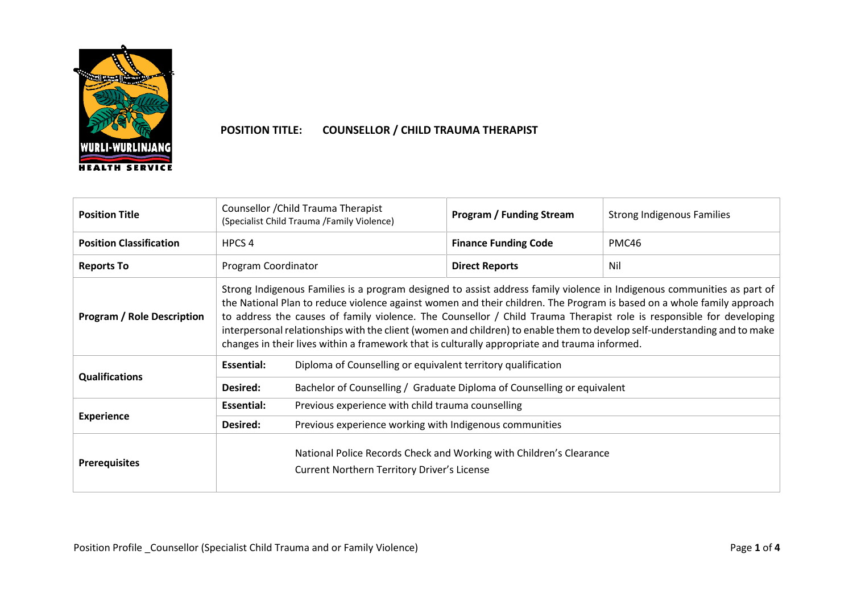

## **POSITION TITLE: COUNSELLOR / CHILD TRAUMA THERAPIST**

| <b>Position Title</b>             | Counsellor / Child Trauma Therapist<br>(Specialist Child Trauma /Family Violence)                                                                                                                                                                                                                                                                                                                                                                                                                                                                                                                       |                                                                         | <b>Program / Funding Stream</b>                                     | <b>Strong Indigenous Families</b> |  |  |
|-----------------------------------|---------------------------------------------------------------------------------------------------------------------------------------------------------------------------------------------------------------------------------------------------------------------------------------------------------------------------------------------------------------------------------------------------------------------------------------------------------------------------------------------------------------------------------------------------------------------------------------------------------|-------------------------------------------------------------------------|---------------------------------------------------------------------|-----------------------------------|--|--|
| <b>Position Classification</b>    | HPCS <sub>4</sub>                                                                                                                                                                                                                                                                                                                                                                                                                                                                                                                                                                                       |                                                                         | <b>Finance Funding Code</b>                                         | PMC46                             |  |  |
| <b>Reports To</b>                 | Program Coordinator                                                                                                                                                                                                                                                                                                                                                                                                                                                                                                                                                                                     |                                                                         | <b>Direct Reports</b>                                               | Nil                               |  |  |
| <b>Program / Role Description</b> | Strong Indigenous Families is a program designed to assist address family violence in Indigenous communities as part of<br>the National Plan to reduce violence against women and their children. The Program is based on a whole family approach<br>to address the causes of family violence. The Counsellor / Child Trauma Therapist role is responsible for developing<br>interpersonal relationships with the client (women and children) to enable them to develop self-understanding and to make<br>changes in their lives within a framework that is culturally appropriate and trauma informed. |                                                                         |                                                                     |                                   |  |  |
| <b>Qualifications</b>             | <b>Essential:</b>                                                                                                                                                                                                                                                                                                                                                                                                                                                                                                                                                                                       | Diploma of Counselling or equivalent territory qualification            |                                                                     |                                   |  |  |
|                                   | <b>Desired:</b>                                                                                                                                                                                                                                                                                                                                                                                                                                                                                                                                                                                         | Bachelor of Counselling / Graduate Diploma of Counselling or equivalent |                                                                     |                                   |  |  |
|                                   | <b>Essential:</b>                                                                                                                                                                                                                                                                                                                                                                                                                                                                                                                                                                                       | Previous experience with child trauma counselling                       |                                                                     |                                   |  |  |
| <b>Experience</b>                 | Desired:                                                                                                                                                                                                                                                                                                                                                                                                                                                                                                                                                                                                | Previous experience working with Indigenous communities                 |                                                                     |                                   |  |  |
| <b>Prerequisites</b>              |                                                                                                                                                                                                                                                                                                                                                                                                                                                                                                                                                                                                         | <b>Current Northern Territory Driver's License</b>                      | National Police Records Check and Working with Children's Clearance |                                   |  |  |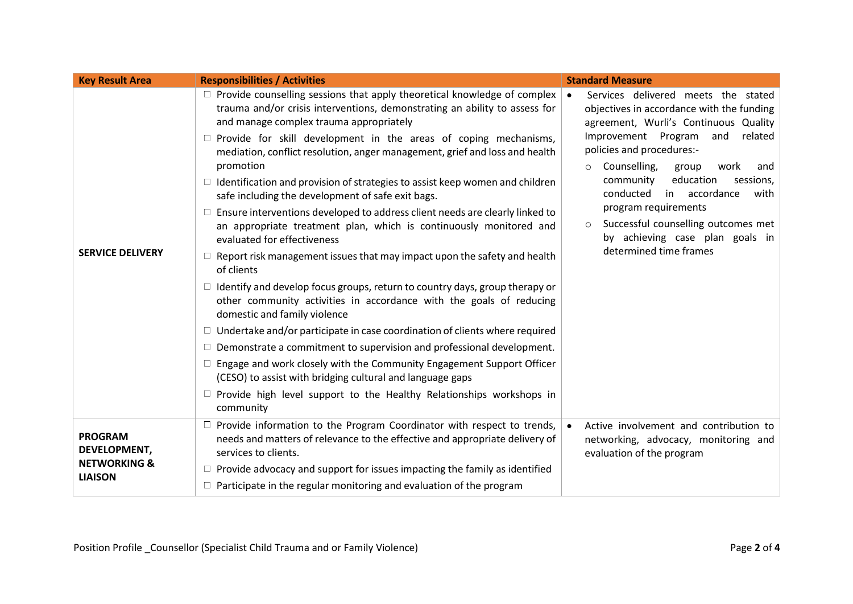| <b>Key Result Area</b>                                           | <b>Responsibilities / Activities</b>                                                                                                                                                                                                                                                                                                                                                                                                                                                                                                                                                                                                                                                                                                                                                                                                                                                                                                                                                                                                                                                                                                                                                                                                                                                                                                                                                                                    | <b>Standard Measure</b>                                                                                                                                                                                                                                                                                                                                                                                                                                                          |
|------------------------------------------------------------------|-------------------------------------------------------------------------------------------------------------------------------------------------------------------------------------------------------------------------------------------------------------------------------------------------------------------------------------------------------------------------------------------------------------------------------------------------------------------------------------------------------------------------------------------------------------------------------------------------------------------------------------------------------------------------------------------------------------------------------------------------------------------------------------------------------------------------------------------------------------------------------------------------------------------------------------------------------------------------------------------------------------------------------------------------------------------------------------------------------------------------------------------------------------------------------------------------------------------------------------------------------------------------------------------------------------------------------------------------------------------------------------------------------------------------|----------------------------------------------------------------------------------------------------------------------------------------------------------------------------------------------------------------------------------------------------------------------------------------------------------------------------------------------------------------------------------------------------------------------------------------------------------------------------------|
| <b>SERVICE DELIVERY</b>                                          | $\Box$ Provide counselling sessions that apply theoretical knowledge of complex<br>trauma and/or crisis interventions, demonstrating an ability to assess for<br>and manage complex trauma appropriately<br>$\Box$ Provide for skill development in the areas of coping mechanisms,<br>mediation, conflict resolution, anger management, grief and loss and health<br>promotion<br>$\Box$ Identification and provision of strategies to assist keep women and children<br>safe including the development of safe exit bags.<br>$\Box$ Ensure interventions developed to address client needs are clearly linked to<br>an appropriate treatment plan, which is continuously monitored and<br>evaluated for effectiveness<br>$\Box$ Report risk management issues that may impact upon the safety and health<br>of clients<br>$\Box$ Identify and develop focus groups, return to country days, group therapy or<br>other community activities in accordance with the goals of reducing<br>domestic and family violence<br>$\Box$ Undertake and/or participate in case coordination of clients where required<br>$\Box$ Demonstrate a commitment to supervision and professional development.<br>$\Box$ Engage and work closely with the Community Engagement Support Officer<br>(CESO) to assist with bridging cultural and language gaps<br>$\Box$ Provide high level support to the Healthy Relationships workshops in | Services delivered meets the stated<br>$\bullet$<br>objectives in accordance with the funding<br>agreement, Wurli's Continuous Quality<br>Improvement Program and<br>related<br>policies and procedures:-<br>Counselling,<br>group<br>work<br>and<br>$\circ$<br>education<br>community<br>sessions,<br>conducted<br>in accordance<br>with<br>program requirements<br>Successful counselling outcomes met<br>$\circ$<br>by achieving case plan goals in<br>determined time frames |
|                                                                  | community<br>$\Box$ Provide information to the Program Coordinator with respect to trends,                                                                                                                                                                                                                                                                                                                                                                                                                                                                                                                                                                                                                                                                                                                                                                                                                                                                                                                                                                                                                                                                                                                                                                                                                                                                                                                              | Active involvement and contribution to<br>$\bullet$                                                                                                                                                                                                                                                                                                                                                                                                                              |
| <b>PROGRAM</b><br><b>DEVELOPMENT,</b><br><b>NETWORKING &amp;</b> | needs and matters of relevance to the effective and appropriate delivery of<br>services to clients.<br>$\Box$ Provide advocacy and support for issues impacting the family as identified                                                                                                                                                                                                                                                                                                                                                                                                                                                                                                                                                                                                                                                                                                                                                                                                                                                                                                                                                                                                                                                                                                                                                                                                                                | networking, advocacy, monitoring and<br>evaluation of the program                                                                                                                                                                                                                                                                                                                                                                                                                |
| <b>LIAISON</b>                                                   | $\Box$ Participate in the regular monitoring and evaluation of the program                                                                                                                                                                                                                                                                                                                                                                                                                                                                                                                                                                                                                                                                                                                                                                                                                                                                                                                                                                                                                                                                                                                                                                                                                                                                                                                                              |                                                                                                                                                                                                                                                                                                                                                                                                                                                                                  |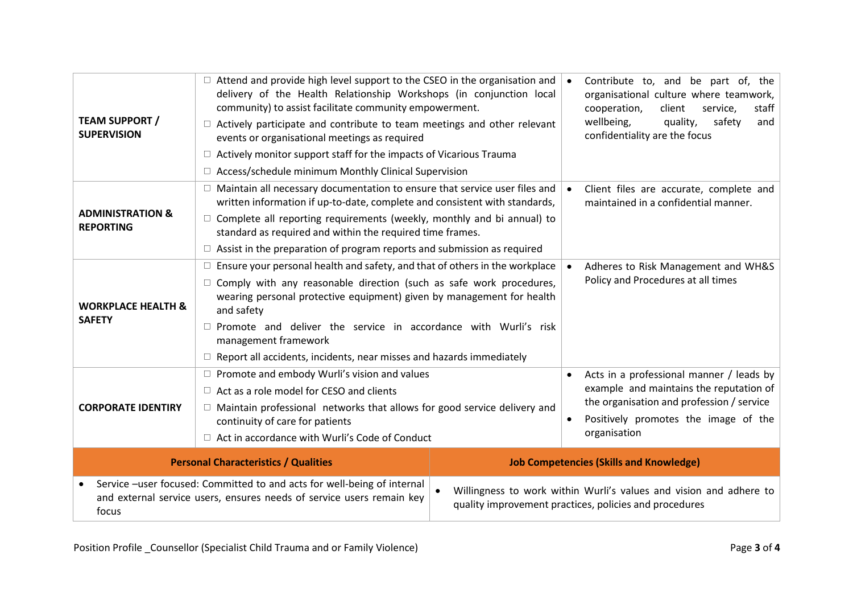| <b>TEAM SUPPORT /</b><br><b>SUPERVISION</b>                                                                                                               | $\Box$ Attend and provide high level support to the CSEO in the organisation and<br>delivery of the Health Relationship Workshops (in conjunction local<br>community) to assist facilitate community empowerment.<br>$\Box$ Actively participate and contribute to team meetings and other relevant<br>events or organisational meetings as required<br>$\Box$ Actively monitor support staff for the impacts of Vicarious Trauma<br>$\Box$ Access/schedule minimum Monthly Clinical Supervision                         |                                                                                                                              | Contribute to, and be part of, the<br>organisational culture where teamwork,<br>cooperation,<br>client<br>service,<br>staff<br>wellbeing,<br>quality,<br>safety<br>and<br>confidentiality are the focus |  |  |
|-----------------------------------------------------------------------------------------------------------------------------------------------------------|--------------------------------------------------------------------------------------------------------------------------------------------------------------------------------------------------------------------------------------------------------------------------------------------------------------------------------------------------------------------------------------------------------------------------------------------------------------------------------------------------------------------------|------------------------------------------------------------------------------------------------------------------------------|---------------------------------------------------------------------------------------------------------------------------------------------------------------------------------------------------------|--|--|
| <b>ADMINISTRATION &amp;</b><br><b>REPORTING</b>                                                                                                           | $\Box$ Maintain all necessary documentation to ensure that service user files and<br>written information if up-to-date, complete and consistent with standards,<br>$\Box$ Complete all reporting requirements (weekly, monthly and bi annual) to<br>standard as required and within the required time frames.<br>$\Box$ Assist in the preparation of program reports and submission as required                                                                                                                          | Client files are accurate, complete and<br>maintained in a confidential manner.                                              |                                                                                                                                                                                                         |  |  |
| <b>WORKPLACE HEALTH &amp;</b><br><b>SAFETY</b>                                                                                                            | $\Box$ Ensure your personal health and safety, and that of others in the workplace<br>Adheres to Risk Management and WH&S<br>Policy and Procedures at all times<br>$\Box$ Comply with any reasonable direction (such as safe work procedures,<br>wearing personal protective equipment) given by management for health<br>and safety<br>$\square$ Promote and deliver the service in accordance with Wurli's risk<br>management framework<br>$\Box$ Report all accidents, incidents, near misses and hazards immediately |                                                                                                                              |                                                                                                                                                                                                         |  |  |
| <b>CORPORATE IDENTIRY</b>                                                                                                                                 | $\Box$ Promote and embody Wurli's vision and values<br>$\Box$ Act as a role model for CESO and clients<br>$\Box$ Maintain professional networks that allows for good service delivery and<br>continuity of care for patients<br>$\Box$ Act in accordance with Wurli's Code of Conduct                                                                                                                                                                                                                                    |                                                                                                                              | Acts in a professional manner / leads by<br>example and maintains the reputation of<br>the organisation and profession / service<br>Positively promotes the image of the<br>$\bullet$<br>organisation   |  |  |
| <b>Personal Characteristics / Qualities</b>                                                                                                               |                                                                                                                                                                                                                                                                                                                                                                                                                                                                                                                          | <b>Job Competencies (Skills and Knowledge)</b>                                                                               |                                                                                                                                                                                                         |  |  |
| Service -user focused: Committed to and acts for well-being of internal<br>and external service users, ensures needs of service users remain key<br>focus |                                                                                                                                                                                                                                                                                                                                                                                                                                                                                                                          | Willingness to work within Wurli's values and vision and adhere to<br>quality improvement practices, policies and procedures |                                                                                                                                                                                                         |  |  |